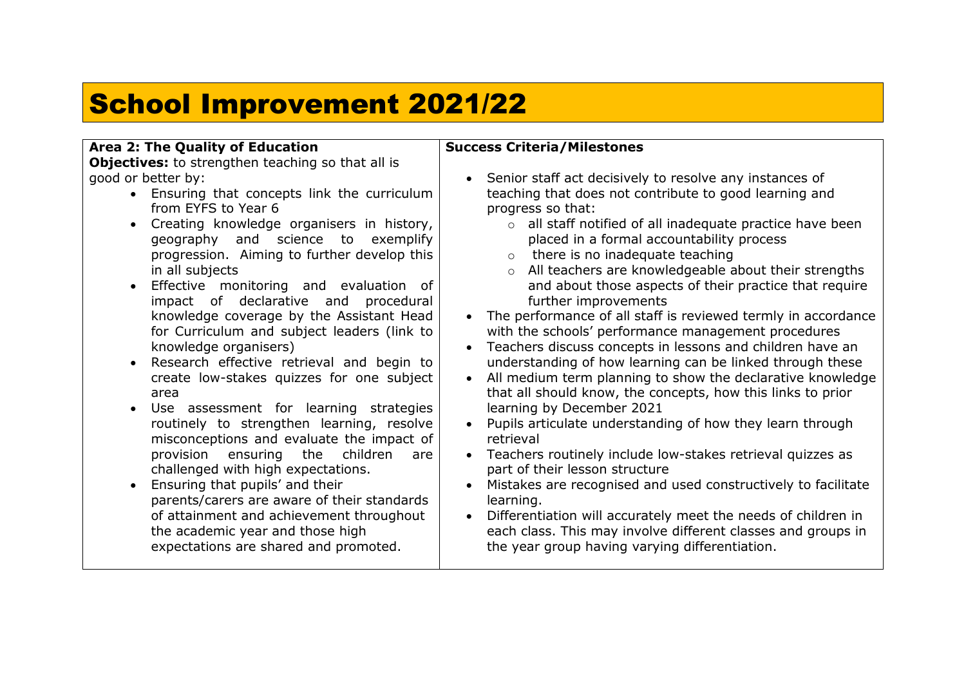## School Improvement 2021/22

## **Area 2: The Quality of Education**

**Objectives:** to strengthen teaching so that all is good or better by:

- Ensuring that concepts link the curriculum from EYFS to Year 6
- Creating knowledge organisers in history, geography and science to exemplify progression. Aiming to further develop this in all subjects
- Effective monitoring and evaluation of impact of declarative and procedural knowledge coverage by the Assistant Head for Curriculum and subject leaders (link to knowledge organisers)
- Research effective retrieval and begin to create low-stakes quizzes for one subject area
- Use assessment for learning strategies routinely to strengthen learning, resolve misconceptions and evaluate the impact of provision ensuring the children are challenged with high expectations.
- Ensuring that pupils' and their parents/carers are aware of their standards of attainment and achievement throughout the academic year and those high expectations are shared and promoted.

## **Success Criteria/Milestones**

- Senior staff act decisively to resolve any instances of teaching that does not contribute to good learning and progress so that:
	- o all staff notified of all inadequate practice have been placed in a formal accountability process
	- o there is no inadequate teaching
	- o All teachers are knowledgeable about their strengths and about those aspects of their practice that require further improvements
- The performance of all staff is reviewed termly in accordance with the schools' performance management procedures
- Teachers discuss concepts in lessons and children have an understanding of how learning can be linked through these
- All medium term planning to show the declarative knowledge that all should know, the concepts, how this links to prior learning by December 2021
- Pupils articulate understanding of how they learn through retrieval
- Teachers routinely include low-stakes retrieval quizzes as part of their lesson structure
- Mistakes are recognised and used constructively to facilitate learning.
- Differentiation will accurately meet the needs of children in each class. This may involve different classes and groups in the year group having varying differentiation.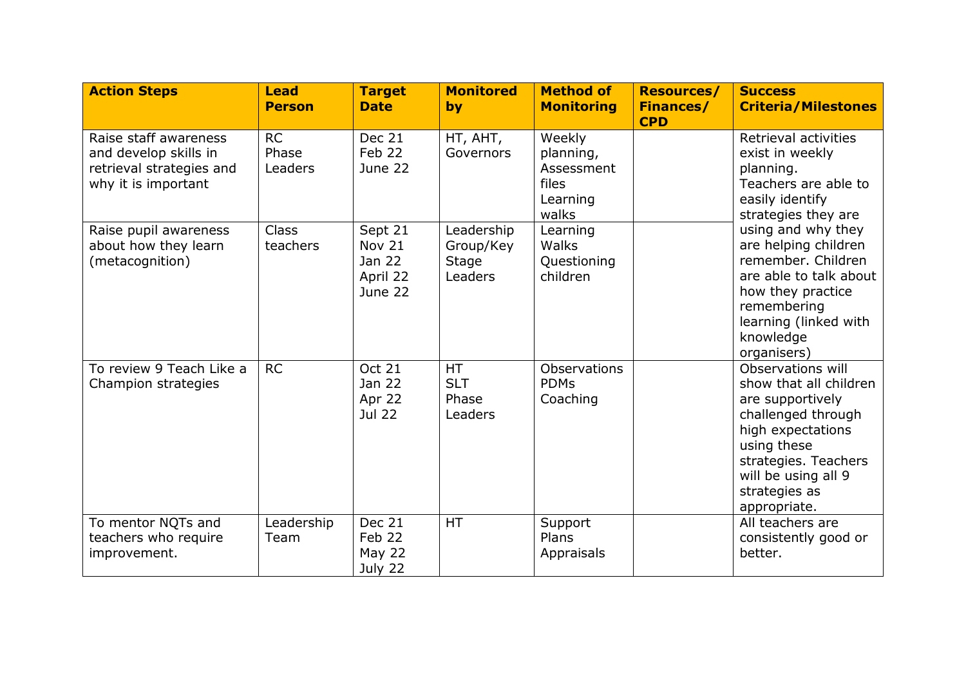| <b>Action Steps</b>                                                                               | <b>Lead</b><br><b>Person</b>  | <b>Target</b><br><b>Date</b>                       | <b>Monitored</b><br>by                      | <b>Method of</b><br><b>Monitoring</b>                           | <b>Resources/</b><br><b>Finances/</b><br><b>CPD</b> | <b>Success</b><br><b>Criteria/Milestones</b>                                                                                                                                                                                                                                                                  |
|---------------------------------------------------------------------------------------------------|-------------------------------|----------------------------------------------------|---------------------------------------------|-----------------------------------------------------------------|-----------------------------------------------------|---------------------------------------------------------------------------------------------------------------------------------------------------------------------------------------------------------------------------------------------------------------------------------------------------------------|
| Raise staff awareness<br>and develop skills in<br>retrieval strategies and<br>why it is important | <b>RC</b><br>Phase<br>Leaders | <b>Dec 21</b><br>Feb 22<br>June 22                 | HT, AHT,<br>Governors                       | Weekly<br>planning,<br>Assessment<br>files<br>Learning<br>walks |                                                     | Retrieval activities<br>exist in weekly<br>planning.<br>Teachers are able to<br>easily identify<br>strategies they are<br>using and why they<br>are helping children<br>remember. Children<br>are able to talk about<br>how they practice<br>remembering<br>learning (linked with<br>knowledge<br>organisers) |
| Raise pupil awareness<br>about how they learn<br>(metacognition)                                  | <b>Class</b><br>teachers      | Sept 21<br>Nov 21<br>Jan 22<br>April 22<br>June 22 | Leadership<br>Group/Key<br>Stage<br>Leaders | Learning<br>Walks<br>Questioning<br>children                    |                                                     |                                                                                                                                                                                                                                                                                                               |
| To review 9 Teach Like a<br>Champion strategies                                                   | <b>RC</b>                     | <b>Oct 21</b><br>Jan 22<br>Apr 22<br><b>Jul 22</b> | <b>HT</b><br><b>SLT</b><br>Phase<br>Leaders | Observations<br><b>PDMs</b><br>Coaching                         |                                                     | Observations will<br>show that all children<br>are supportively<br>challenged through<br>high expectations<br>using these<br>strategies. Teachers<br>will be using all 9<br>strategies as<br>appropriate.                                                                                                     |
| To mentor NQTs and<br>teachers who require<br>improvement.                                        | Leadership<br>Team            | Dec 21<br>Feb 22<br>May 22<br>July 22              | <b>HT</b>                                   | Support<br>Plans<br>Appraisals                                  |                                                     | All teachers are<br>consistently good or<br>better.                                                                                                                                                                                                                                                           |